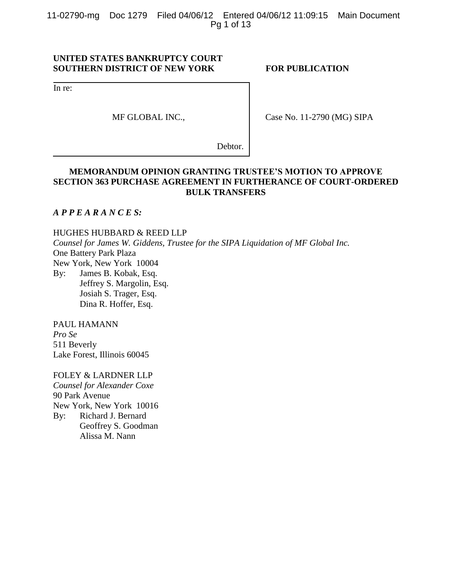11-02790-mg Doc 1279 Filed 04/06/12 Entered 04/06/12 11:09:15 Main Document Pg 1 of 13

## **UNITED STATES BANKRUPTCY COURT SOUTHERN DISTRICT OF NEW YORK FOR PUBLICATION**

In re:

MF GLOBAL INC.,

Case No. 11-2790 (MG) SIPA

Debtor.

## **MEMORANDUM OPINION GRANTING TRUSTEE'S MOTION TO APPROVE SECTION 363 PURCHASE AGREEMENT IN FURTHERANCE OF COURT-ORDERED BULK TRANSFERS**

## *A P P E A R A N C E S:*

HUGHES HUBBARD & REED LLP *Counsel for James W. Giddens, Trustee for the SIPA Liquidation of MF Global Inc.* One Battery Park Plaza New York, New York 10004 By: James B. Kobak, Esq.

Jeffrey S. Margolin, Esq. Josiah S. Trager, Esq. Dina R. Hoffer, Esq.

PAUL HAMANN *Pro Se* 511 Beverly Lake Forest, Illinois 60045

FOLEY & LARDNER LLP *Counsel for Alexander Coxe* 90 Park Avenue New York, New York 10016 By: Richard J. Bernard Geoffrey S. Goodman Alissa M. Nann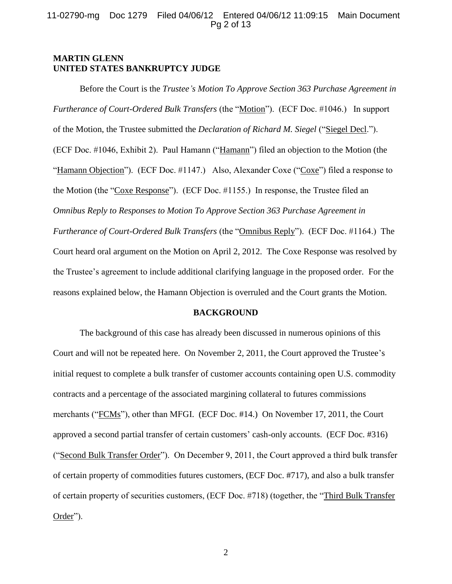### 11-02790-mg Doc 1279 Filed 04/06/12 Entered 04/06/12 11:09:15 Main Document Pg 2 of 13

## **MARTIN GLENN UNITED STATES BANKRUPTCY JUDGE**

Before the Court is the *Trustee's Motion To Approve Section 363 Purchase Agreement in Furtherance of Court-Ordered Bulk Transfers* (the "Motion"). (ECF Doc. #1046.) In support of the Motion, the Trustee submitted the *Declaration of Richard M. Siegel* ("Siegel Decl."). (ECF Doc. #1046, Exhibit 2). Paul Hamann ("Hamann") filed an objection to the Motion (the "Hamann Objection"). (ECF Doc. #1147.) Also, Alexander Coxe ("Coxe") filed a response to the Motion (the "Coxe Response"). (ECF Doc. #1155.) In response, the Trustee filed an *Omnibus Reply to Responses to Motion To Approve Section 363 Purchase Agreement in Furtherance of Court-Ordered Bulk Transfers* (the "Omnibus Reply"). (ECF Doc. #1164.) The Court heard oral argument on the Motion on April 2, 2012. The Coxe Response was resolved by the Trustee's agreement to include additional clarifying language in the proposed order. For the reasons explained below, the Hamann Objection is overruled and the Court grants the Motion.

### **BACKGROUND**

The background of this case has already been discussed in numerous opinions of this Court and will not be repeated here. On November 2, 2011, the Court approved the Trustee's initial request to complete a bulk transfer of customer accounts containing open U.S. commodity contracts and a percentage of the associated margining collateral to futures commissions merchants ("FCMs"), other than MFGI. (ECF Doc. #14.) On November 17, 2011, the Court approved a second partial transfer of certain customers' cash-only accounts. (ECF Doc. #316) ("Second Bulk Transfer Order"). On December 9, 2011, the Court approved a third bulk transfer of certain property of commodities futures customers, (ECF Doc. #717), and also a bulk transfer of certain property of securities customers, (ECF Doc. #718) (together, the "Third Bulk Transfer Order").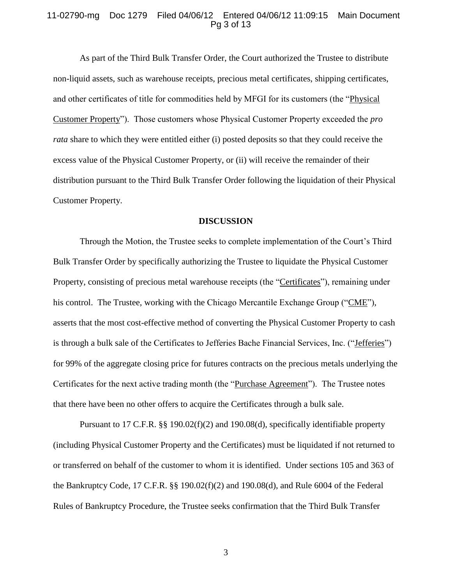#### 11-02790-mg Doc 1279 Filed 04/06/12 Entered 04/06/12 11:09:15 Main Document Pg 3 of 13

As part of the Third Bulk Transfer Order, the Court authorized the Trustee to distribute non-liquid assets, such as warehouse receipts, precious metal certificates, shipping certificates, and other certificates of title for commodities held by MFGI for its customers (the "Physical Customer Property"). Those customers whose Physical Customer Property exceeded the *pro rata* share to which they were entitled either (i) posted deposits so that they could receive the excess value of the Physical Customer Property, or (ii) will receive the remainder of their distribution pursuant to the Third Bulk Transfer Order following the liquidation of their Physical Customer Property.

#### **DISCUSSION**

Through the Motion, the Trustee seeks to complete implementation of the Court's Third Bulk Transfer Order by specifically authorizing the Trustee to liquidate the Physical Customer Property, consisting of precious metal warehouse receipts (the "Certificates"), remaining under his control. The Trustee, working with the Chicago Mercantile Exchange Group ("CME"), asserts that the most cost-effective method of converting the Physical Customer Property to cash is through a bulk sale of the Certificates to Jefferies Bache Financial Services, Inc. ("Jefferies") for 99% of the aggregate closing price for futures contracts on the precious metals underlying the Certificates for the next active trading month (the "Purchase Agreement"). The Trustee notes that there have been no other offers to acquire the Certificates through a bulk sale.

Pursuant to 17 C.F.R. §§ 190.02(f)(2) and 190.08(d), specifically identifiable property (including Physical Customer Property and the Certificates) must be liquidated if not returned to or transferred on behalf of the customer to whom it is identified. Under sections 105 and 363 of the Bankruptcy Code, 17 C.F.R. §§ 190.02(f)(2) and 190.08(d), and Rule 6004 of the Federal Rules of Bankruptcy Procedure, the Trustee seeks confirmation that the Third Bulk Transfer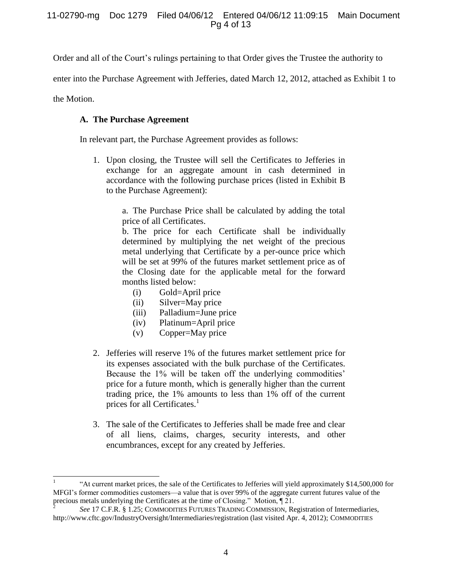Order and all of the Court's rulings pertaining to that Order gives the Trustee the authority to

enter into the Purchase Agreement with Jefferies, dated March 12, 2012, attached as Exhibit 1 to

the Motion.

## **A. The Purchase Agreement**

In relevant part, the Purchase Agreement provides as follows:

1. Upon closing, the Trustee will sell the Certificates to Jefferies in exchange for an aggregate amount in cash determined in accordance with the following purchase prices (listed in Exhibit B to the Purchase Agreement):

> a. The Purchase Price shall be calculated by adding the total price of all Certificates.

> b. The price for each Certificate shall be individually determined by multiplying the net weight of the precious metal underlying that Certificate by a per-ounce price which will be set at 99% of the futures market settlement price as of the Closing date for the applicable metal for the forward months listed below:

- (i) Gold=April price
- (ii) Silver=May price
- (iii) Palladium=June price
- (iv) Platinum=April price
- (v) Copper=May price
- 2. Jefferies will reserve 1% of the futures market settlement price for its expenses associated with the bulk purchase of the Certificates. Because the 1% will be taken off the underlying commodities' price for a future month, which is generally higher than the current trading price, the 1% amounts to less than 1% off of the current prices for all Certificates.<sup>1</sup>
- 3. The sale of the Certificates to Jefferies shall be made free and clear of all liens, claims, charges, security interests, and other encumbrances, except for any created by Jefferies.

 $\overline{a}$ 1 "At current market prices, the sale of the Certificates to Jefferies will yield approximately \$14,500,000 for MFGI's former commodities customers—a value that is over 99% of the aggregate current futures value of the precious metals underlying the Certificates at the time of Closing." Motion, ¶ 21.

 $\overline{2}$ *See* 17 C.F.R. § 1.25; COMMODITIES FUTURES TRADING COMMISSION, Registration of Intermediaries, http://www.cftc.gov/IndustryOversight/Intermediaries/registration (last visited Apr. 4, 2012); COMMODITIES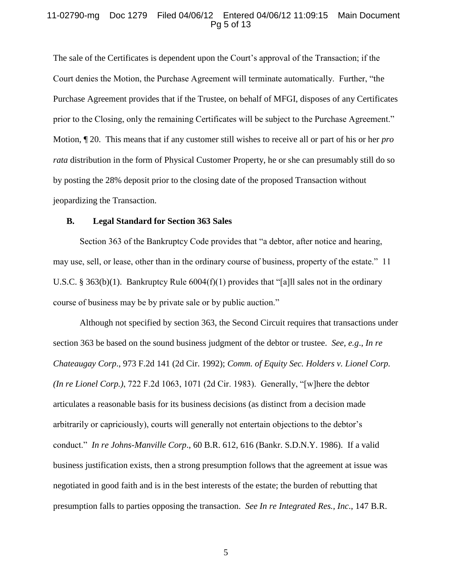### 11-02790-mg Doc 1279 Filed 04/06/12 Entered 04/06/12 11:09:15 Main Document Pg 5 of 13

The sale of the Certificates is dependent upon the Court's approval of the Transaction; if the Court denies the Motion, the Purchase Agreement will terminate automatically. Further, "the Purchase Agreement provides that if the Trustee, on behalf of MFGI, disposes of any Certificates prior to the Closing, only the remaining Certificates will be subject to the Purchase Agreement." Motion, ¶ 20. This means that if any customer still wishes to receive all or part of his or her *pro rata* distribution in the form of Physical Customer Property, he or she can presumably still do so by posting the 28% deposit prior to the closing date of the proposed Transaction without jeopardizing the Transaction.

#### **B. Legal Standard for Section 363 Sales**

Section 363 of the Bankruptcy Code provides that "a debtor, after notice and hearing, may use, sell, or lease, other than in the ordinary course of business, property of the estate." 11 U.S.C. § 363(b)(1). Bankruptcy Rule 6004(f)(1) provides that "[a]ll sales not in the ordinary course of business may be by private sale or by public auction."

Although not specified by section 363, the Second Circuit requires that transactions under section 363 be based on the sound business judgment of the debtor or trustee. *See, e.g*., *In re Chateaugay Corp*., 973 F.2d 141 (2d Cir. 1992); *Comm. of Equity Sec. Holders v. Lionel Corp. (In re Lionel Corp.)*, 722 F.2d 1063, 1071 (2d Cir. 1983). Generally, "[w]here the debtor articulates a reasonable basis for its business decisions (as distinct from a decision made arbitrarily or capriciously), courts will generally not entertain objections to the debtor's conduct." *In re Johns-Manville Corp*., 60 B.R. 612, 616 (Bankr. S.D.N.Y. 1986). If a valid business justification exists, then a strong presumption follows that the agreement at issue was negotiated in good faith and is in the best interests of the estate; the burden of rebutting that presumption falls to parties opposing the transaction. *See In re Integrated Res., Inc*., 147 B.R.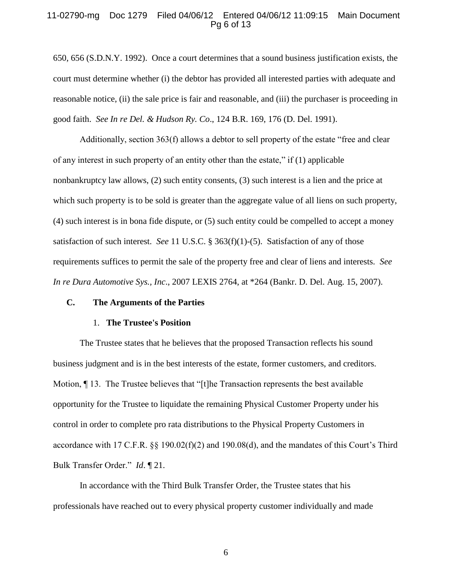### 11-02790-mg Doc 1279 Filed 04/06/12 Entered 04/06/12 11:09:15 Main Document Pg 6 of 13

650, 656 (S.D.N.Y. 1992). Once a court determines that a sound business justification exists, the court must determine whether (i) the debtor has provided all interested parties with adequate and reasonable notice, (ii) the sale price is fair and reasonable, and (iii) the purchaser is proceeding in good faith. *See In re Del. & Hudson Ry. Co*., 124 B.R. 169, 176 (D. Del. 1991).

Additionally, section 363(f) allows a debtor to sell property of the estate "free and clear of any interest in such property of an entity other than the estate," if (1) applicable nonbankruptcy law allows, (2) such entity consents, (3) such interest is a lien and the price at which such property is to be sold is greater than the aggregate value of all liens on such property, (4) such interest is in bona fide dispute, or (5) such entity could be compelled to accept a money satisfaction of such interest. *See* 11 U.S.C. § 363(f)(1)-(5). Satisfaction of any of those requirements suffices to permit the sale of the property free and clear of liens and interests. *See In re Dura Automotive Sys., Inc*., 2007 LEXIS 2764, at \*264 (Bankr. D. Del. Aug. 15, 2007).

## **C. The Arguments of the Parties**

#### 1. **The Trustee's Position**

The Trustee states that he believes that the proposed Transaction reflects his sound business judgment and is in the best interests of the estate, former customers, and creditors. Motion, ¶ 13. The Trustee believes that "[t]he Transaction represents the best available opportunity for the Trustee to liquidate the remaining Physical Customer Property under his control in order to complete pro rata distributions to the Physical Property Customers in accordance with 17 C.F.R. §§ 190.02(f)(2) and 190.08(d), and the mandates of this Court's Third Bulk Transfer Order." *Id*. ¶ 21.

In accordance with the Third Bulk Transfer Order, the Trustee states that his professionals have reached out to every physical property customer individually and made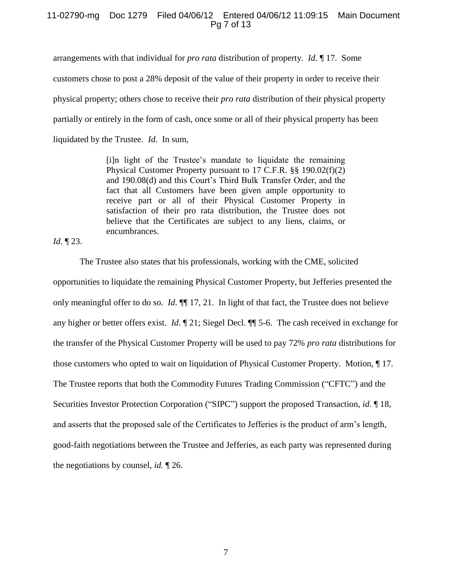## 11-02790-mg Doc 1279 Filed 04/06/12 Entered 04/06/12 11:09:15 Main Document Pg 7 of 13

arrangements with that individual for *pro rata* distribution of property. *Id*. ¶ 17. Some

customers chose to post a 28% deposit of the value of their property in order to receive their

physical property; others chose to receive their *pro rata* distribution of their physical property

partially or entirely in the form of cash, once some or all of their physical property has been

liquidated by the Trustee. *Id*. In sum,

[i]n light of the Trustee's mandate to liquidate the remaining Physical Customer Property pursuant to 17 C.F.R. §§ 190.02(f)(2) and 190.08(d) and this Court's Third Bulk Transfer Order, and the fact that all Customers have been given ample opportunity to receive part or all of their Physical Customer Property in satisfaction of their pro rata distribution, the Trustee does not believe that the Certificates are subject to any liens, claims, or encumbrances.

*Id*. ¶ 23.

The Trustee also states that his professionals, working with the CME, solicited opportunities to liquidate the remaining Physical Customer Property, but Jefferies presented the only meaningful offer to do so. *Id*. ¶¶ 17, 21. In light of that fact, the Trustee does not believe any higher or better offers exist. *Id*. ¶ 21; Siegel Decl. ¶¶ 5-6. The cash received in exchange for the transfer of the Physical Customer Property will be used to pay 72% *pro rata* distributions for those customers who opted to wait on liquidation of Physical Customer Property. Motion, ¶ 17. The Trustee reports that both the Commodity Futures Trading Commission ("CFTC") and the Securities Investor Protection Corporation ("SIPC") support the proposed Transaction, *id*. ¶ 18, and asserts that the proposed sale of the Certificates to Jefferies is the product of arm's length, good-faith negotiations between the Trustee and Jefferies, as each party was represented during the negotiations by counsel, *id.* ¶ 26.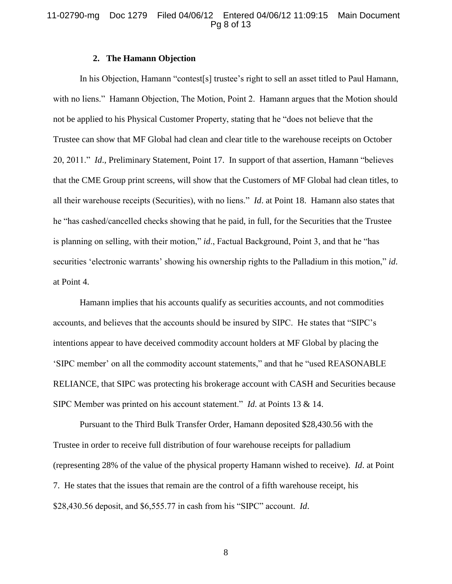### 11-02790-mg Doc 1279 Filed 04/06/12 Entered 04/06/12 11:09:15 Main Document Pg 8 of 13

#### **2. The Hamann Objection**

In his Objection, Hamann "contest[s] trustee's right to sell an asset titled to Paul Hamann, with no liens." Hamann Objection, The Motion, Point 2. Hamann argues that the Motion should not be applied to his Physical Customer Property, stating that he "does not believe that the Trustee can show that MF Global had clean and clear title to the warehouse receipts on October 20, 2011." *Id*., Preliminary Statement, Point 17. In support of that assertion, Hamann "believes that the CME Group print screens, will show that the Customers of MF Global had clean titles, to all their warehouse receipts (Securities), with no liens." *Id*. at Point 18. Hamann also states that he "has cashed/cancelled checks showing that he paid, in full, for the Securities that the Trustee is planning on selling, with their motion," *id*., Factual Background, Point 3, and that he "has securities 'electronic warrants' showing his ownership rights to the Palladium in this motion," *id*. at Point 4.

Hamann implies that his accounts qualify as securities accounts, and not commodities accounts, and believes that the accounts should be insured by SIPC. He states that "SIPC's intentions appear to have deceived commodity account holders at MF Global by placing the 'SIPC member' on all the commodity account statements," and that he "used REASONABLE RELIANCE, that SIPC was protecting his brokerage account with CASH and Securities because SIPC Member was printed on his account statement." *Id*. at Points 13 & 14.

Pursuant to the Third Bulk Transfer Order, Hamann deposited \$28,430.56 with the Trustee in order to receive full distribution of four warehouse receipts for palladium (representing 28% of the value of the physical property Hamann wished to receive). *Id*. at Point 7. He states that the issues that remain are the control of a fifth warehouse receipt, his \$28,430.56 deposit, and \$6,555.77 in cash from his "SIPC" account. *Id*.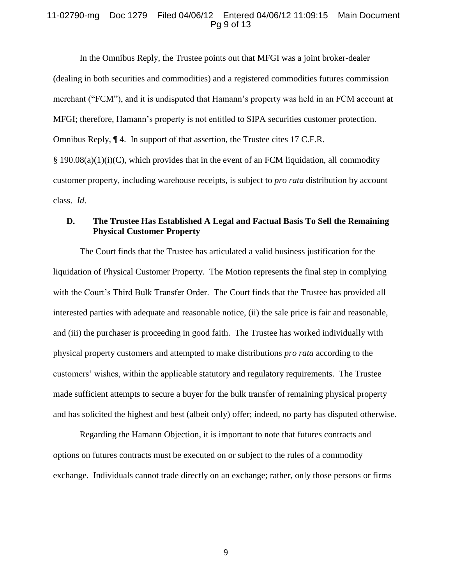### 11-02790-mg Doc 1279 Filed 04/06/12 Entered 04/06/12 11:09:15 Main Document Pg 9 of 13

In the Omnibus Reply, the Trustee points out that MFGI was a joint broker-dealer (dealing in both securities and commodities) and a registered commodities futures commission merchant ("FCM"), and it is undisputed that Hamann's property was held in an FCM account at MFGI; therefore, Hamann's property is not entitled to SIPA securities customer protection. Omnibus Reply, ¶ 4. In support of that assertion, the Trustee cites 17 C.F.R.  $§$  190.08(a)(1)(i)(C), which provides that in the event of an FCM liquidation, all commodity customer property, including warehouse receipts, is subject to *pro rata* distribution by account class. *Id*.

## **D. The Trustee Has Established A Legal and Factual Basis To Sell the Remaining Physical Customer Property**

The Court finds that the Trustee has articulated a valid business justification for the liquidation of Physical Customer Property. The Motion represents the final step in complying with the Court's Third Bulk Transfer Order. The Court finds that the Trustee has provided all interested parties with adequate and reasonable notice, (ii) the sale price is fair and reasonable, and (iii) the purchaser is proceeding in good faith. The Trustee has worked individually with physical property customers and attempted to make distributions *pro rata* according to the customers' wishes, within the applicable statutory and regulatory requirements. The Trustee made sufficient attempts to secure a buyer for the bulk transfer of remaining physical property and has solicited the highest and best (albeit only) offer; indeed, no party has disputed otherwise.

Regarding the Hamann Objection, it is important to note that futures contracts and options on futures contracts must be executed on or subject to the rules of a commodity exchange. Individuals cannot trade directly on an exchange; rather, only those persons or firms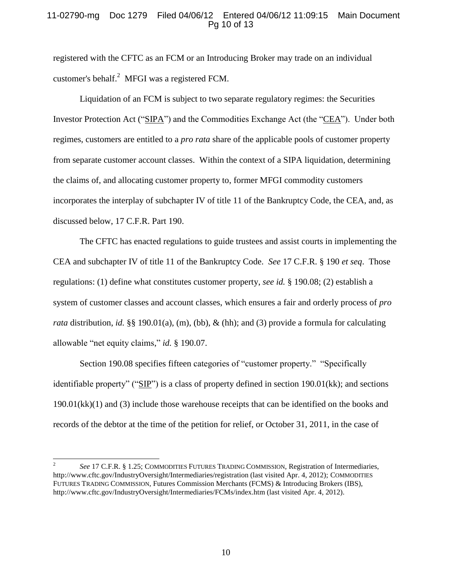## 11-02790-mg Doc 1279 Filed 04/06/12 Entered 04/06/12 11:09:15 Main Document Pg 10 of 13

registered with the CFTC as an FCM or an Introducing Broker may trade on an individual customer's behalf.<sup>2</sup> MFGI was a registered FCM.

Liquidation of an FCM is subject to two separate regulatory regimes: the Securities Investor Protection Act ("SIPA") and the Commodities Exchange Act (the "CEA"). Under both regimes, customers are entitled to a *pro rata* share of the applicable pools of customer property from separate customer account classes. Within the context of a SIPA liquidation, determining the claims of, and allocating customer property to, former MFGI commodity customers incorporates the interplay of subchapter IV of title 11 of the Bankruptcy Code, the CEA, and, as discussed below, 17 C.F.R. Part 190.

The CFTC has enacted regulations to guide trustees and assist courts in implementing the CEA and subchapter IV of title 11 of the Bankruptcy Code. *See* 17 C.F.R. § 190 *et seq*. Those regulations: (1) define what constitutes customer property, *see id.* § 190.08; (2) establish a system of customer classes and account classes, which ensures a fair and orderly process of *pro rata* distribution, *id.* §§ 190.01(a), (m), (bb), & (hh); and (3) provide a formula for calculating allowable "net equity claims," *id.* § 190.07.

Section 190.08 specifies fifteen categories of "customer property." "Specifically identifiable property" ("SIP") is a class of property defined in section 190.01(kk); and sections 190.01(kk)(1) and (3) include those warehouse receipts that can be identified on the books and records of the debtor at the time of the petition for relief, or October 31, 2011, in the case of

 $\overline{a}$ 

<sup>2</sup> *See* 17 C.F.R. § 1.25; COMMODITIES FUTURES TRADING COMMISSION, Registration of Intermediaries, http://www.cftc.gov/IndustryOversight/Intermediaries/registration (last visited Apr. 4, 2012); COMMODITIES FUTURES TRADING COMMISSION, Futures Commission Merchants (FCMS) & Introducing Brokers (IBS), http://www.cftc.gov/IndustryOversight/Intermediaries/FCMs/index.htm (last visited Apr. 4, 2012).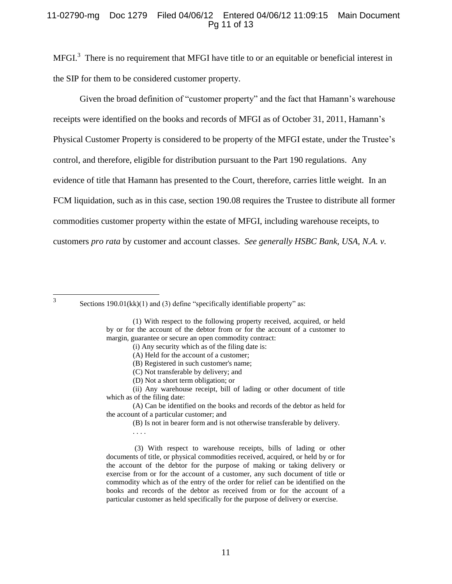## 11-02790-mg Doc 1279 Filed 04/06/12 Entered 04/06/12 11:09:15 Main Document Pg 11 of 13

MFGI.<sup>3</sup> There is no requirement that MFGI have title to or an equitable or beneficial interest in the SIP for them to be considered customer property.

Given the broad definition of "customer property" and the fact that Hamann's warehouse receipts were identified on the books and records of MFGI as of October 31, 2011, Hamann's Physical Customer Property is considered to be property of the MFGI estate, under the Trustee's control, and therefore, eligible for distribution pursuant to the Part 190 regulations. Any evidence of title that Hamann has presented to the Court, therefore, carries little weight. In an FCM liquidation, such as in this case, section 190.08 requires the Trustee to distribute all former commodities customer property within the estate of MFGI, including warehouse receipts, to customers *pro rata* by customer and account classes. *See generally HSBC Bank, USA, N.A. v.* 

3

. . . .

(3) With respect to warehouse receipts, bills of lading or other documents of title, or physical commodities received, acquired, or held by or for the account of the debtor for the purpose of making or taking delivery or exercise from or for the account of a customer, any such document of title or commodity which as of the entry of the order for relief can be identified on the books and records of the debtor as received from or for the account of a particular customer as held specifically for the purpose of delivery or exercise.

Sections 190.01(kk)(1) and (3) define "specifically identifiable property" as:

<sup>(1)</sup> With respect to the following property received, acquired, or held by or for the account of the debtor from or for the account of a customer to margin, guarantee or secure an open commodity contract:

<sup>(</sup>i) Any security which as of the filing date is:

<sup>(</sup>A) Held for the account of a customer;

<sup>(</sup>B) Registered in such customer's name;

<sup>(</sup>C) Not transferable by delivery; and

<sup>(</sup>D) Not a short term obligation; or

<sup>(</sup>ii) Any warehouse receipt, bill of lading or other document of title which as of the filing date:

<sup>(</sup>A) Can be identified on the books and records of the debtor as held for the account of a particular customer; and

<sup>(</sup>B) Is not in bearer form and is not otherwise transferable by delivery.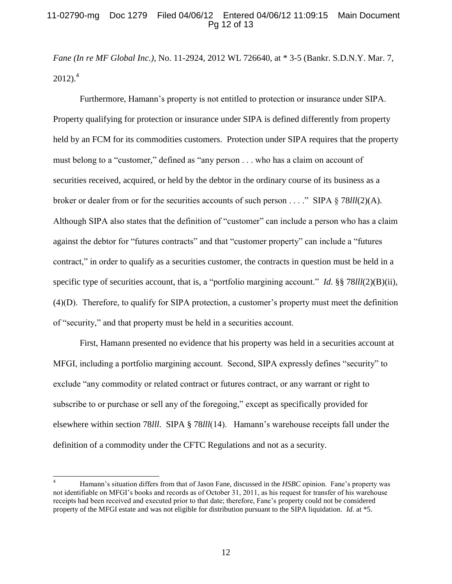## 11-02790-mg Doc 1279 Filed 04/06/12 Entered 04/06/12 11:09:15 Main Document Pg 12 of 13

*Fane (In re MF Global Inc.)*, No. 11-2924, 2012 WL 726640, at \* 3-5 (Bankr. S.D.N.Y. Mar. 7,  $2012$ ).<sup>4</sup>

Furthermore, Hamann's property is not entitled to protection or insurance under SIPA. Property qualifying for protection or insurance under SIPA is defined differently from property held by an FCM for its commodities customers. Protection under SIPA requires that the property must belong to a "customer," defined as "any person . . . who has a claim on account of securities received, acquired, or held by the debtor in the ordinary course of its business as a broker or dealer from or for the securities accounts of such person . . . ." SIPA § 78*lll*(2)(A). Although SIPA also states that the definition of "customer" can include a person who has a claim against the debtor for "futures contracts" and that "customer property" can include a "futures contract," in order to qualify as a securities customer, the contracts in question must be held in a specific type of securities account, that is, a "portfolio margining account." *Id*. §§ 78*lll*(2)(B)(ii), (4)(D). Therefore, to qualify for SIPA protection, a customer's property must meet the definition of "security," and that property must be held in a securities account.

First, Hamann presented no evidence that his property was held in a securities account at MFGI, including a portfolio margining account. Second, SIPA expressly defines "security" to exclude "any commodity or related contract or futures contract, or any warrant or right to subscribe to or purchase or sell any of the foregoing," except as specifically provided for elsewhere within section 78*lll*. SIPA § 78*lll*(14). Hamann's warehouse receipts fall under the definition of a commodity under the CFTC Regulations and not as a security.

 $\overline{4}$ <sup>4</sup> Hamann's situation differs from that of Jason Fane, discussed in the *HSBC* opinion. Fane's property was not identifiable on MFGI's books and records as of October 31, 2011, as his request for transfer of his warehouse receipts had been received and executed prior to that date; therefore, Fane's property could not be considered property of the MFGI estate and was not eligible for distribution pursuant to the SIPA liquidation. *Id*. at \*5.